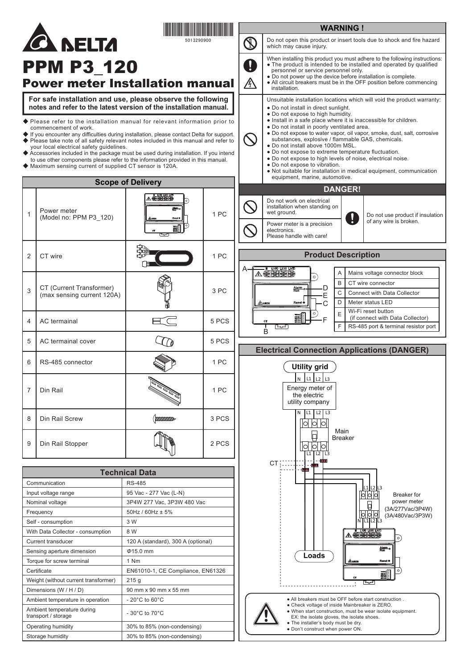